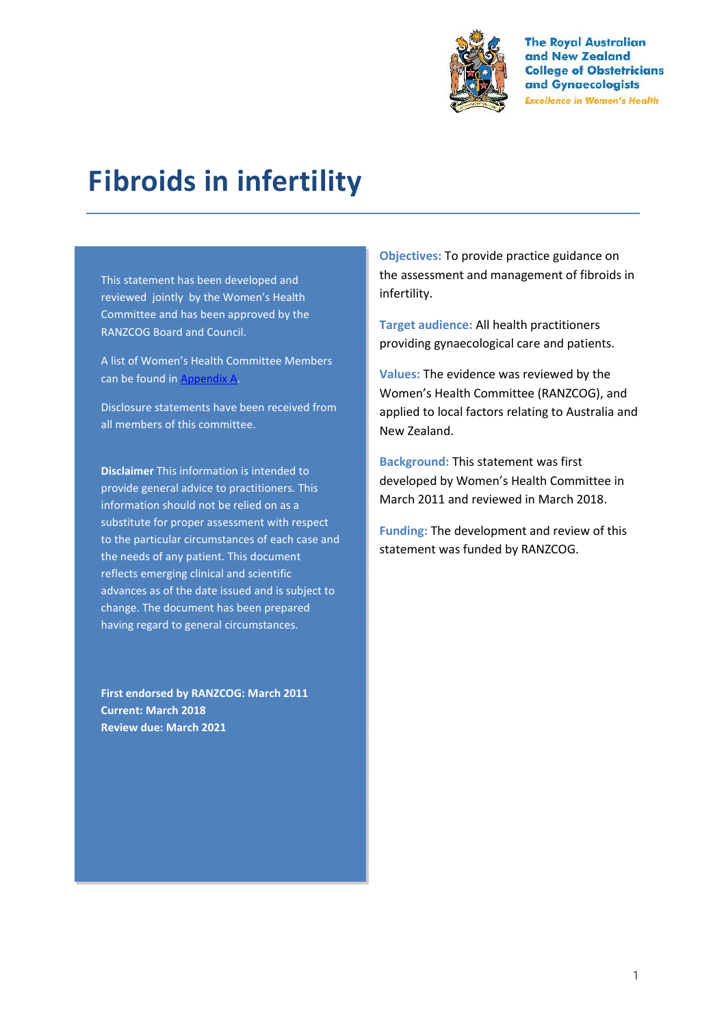

**The Royal Australian** and New Zealand **College of Obstetricians** and Gynaecologists **Excellence in Women's Health** 

# **Fibroids in infertility**

This statement has been developed and reviewed jointly by the Women's Health Committee and has been approved by the RANZCOG Board and Council.

A list of Women's Health Committee Members can be found in Appendix A.

Disclosure statements have been received from all members of this committee.

**Disclaimer** This information is intended to provide general advice to practitioners. This information should not be relied on as a substitute for proper assessment with respect to the particular circumstances of each case and the needs of any patient. This document reflects emerging clinical and scientific advances as of the date issued and is subject to change. The document has been prepared having regard to general circumstances.

**First endorsed by RANZCOG: March 2011 Current: March 2018 Review due: March 2021**

**Objectives:** To provide practice guidance on the assessment and management of fibroids in infertility.

**Target audience:** All health practitioners providing gynaecological care and patients.

**Values:** The evidence was reviewed by the Women's Health Committee (RANZCOG), and applied to local factors relating to Australia and New Zealand.

**Background:** This statement was first developed by Women's Health Committee in March 2011 and reviewed in March 2018.

**Funding:** The development and review of this statement was funded by RANZCOG.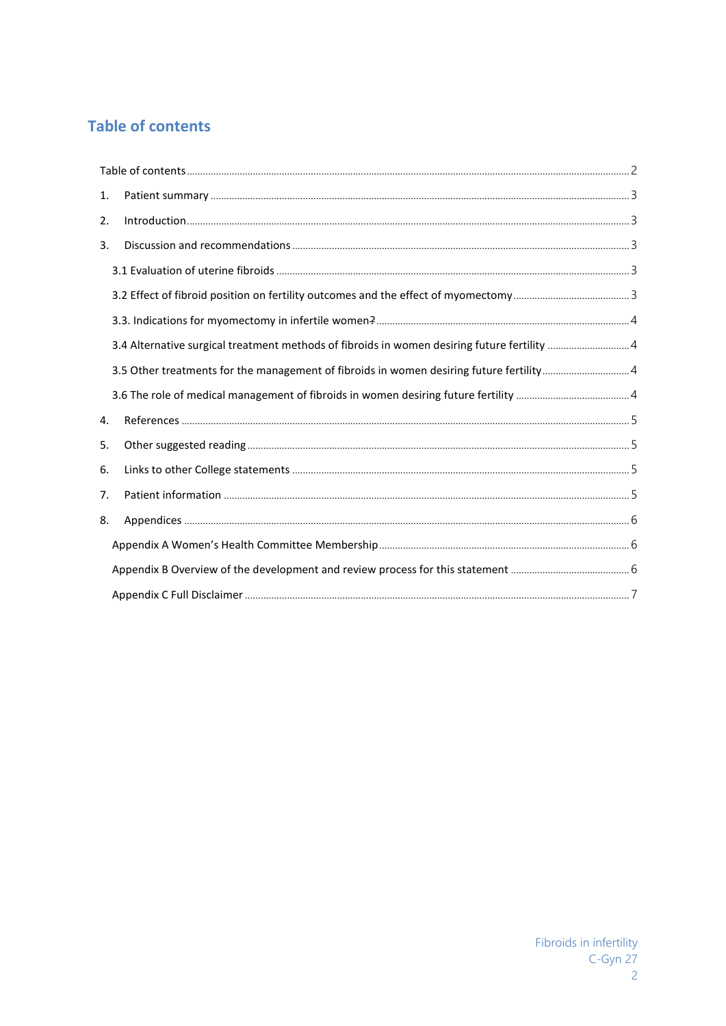# **Table of contents**

| 1. |                                                                                              |  |
|----|----------------------------------------------------------------------------------------------|--|
| 2. |                                                                                              |  |
| 3. |                                                                                              |  |
|    |                                                                                              |  |
|    |                                                                                              |  |
|    |                                                                                              |  |
|    | 3.4 Alternative surgical treatment methods of fibroids in women desiring future fertility  4 |  |
|    | 3.5 Other treatments for the management of fibroids in women desiring future fertility4      |  |
|    |                                                                                              |  |
| 4. |                                                                                              |  |
| 5. |                                                                                              |  |
| 6. |                                                                                              |  |
| 7. |                                                                                              |  |
| 8. |                                                                                              |  |
|    |                                                                                              |  |
|    |                                                                                              |  |
|    |                                                                                              |  |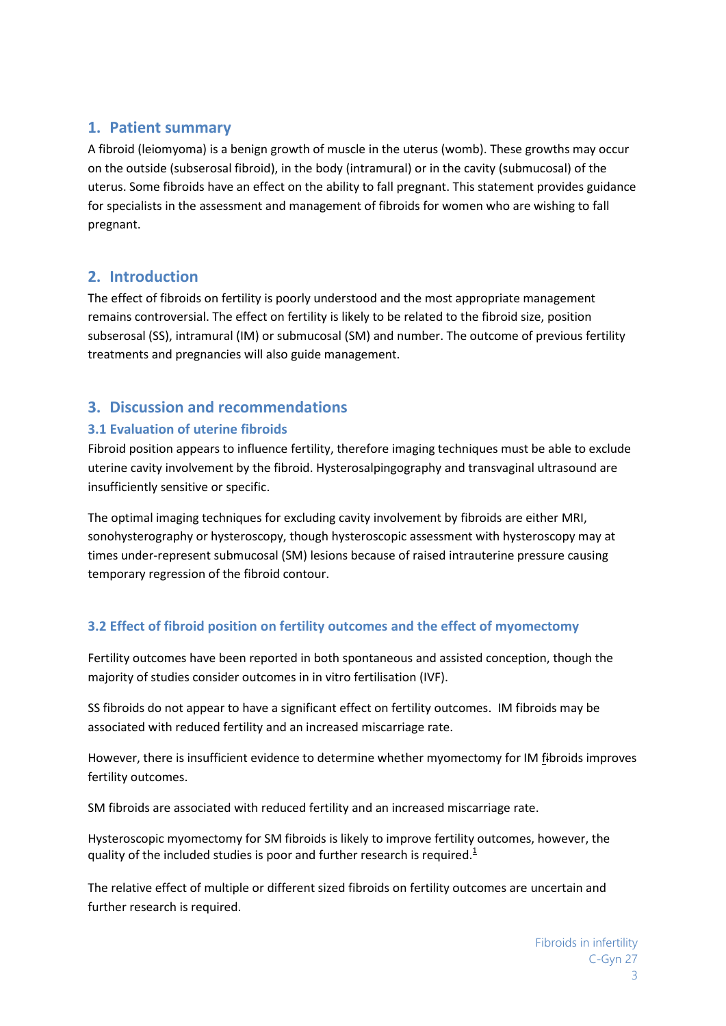# **1. Patient summary**

A fibroid (leiomyoma) is a benign growth of muscle in the uterus (womb). These growths may occur on the outside (subserosal fibroid), in the body (intramural) or in the cavity (submucosal) of the uterus. Some fibroids have an effect on the ability to fall pregnant. This statement provides guidance for specialists in the assessment and management of fibroids for women who are wishing to fall pregnant.

# **2. Introduction**

The effect of fibroids on fertility is poorly understood and the most appropriate management remains controversial. The effect on fertility is likely to be related to the fibroid size, position subserosal (SS), intramural (IM) or submucosal (SM) and number. The outcome of previous fertility treatments and pregnancies will also guide management.

# **3. Discussion and recommendations**

## **3.1 Evaluation of uterine fibroids**

Fibroid position appears to influence fertility, therefore imaging techniques must be able to exclude uterine cavity involvement by the fibroid. Hysterosalpingography and transvaginal ultrasound are insufficiently sensitive or specific.

The optimal imaging techniques for excluding cavity involvement by fibroids are either MRI, sonohysterography or hysteroscopy, though hysteroscopic assessment with hysteroscopy may at times under-represent submucosal (SM) lesions because of raised intrauterine pressure causing temporary regression of the fibroid contour.

# **3.2 Effect of fibroid position on fertility outcomes and the effect of myomectomy**

Fertility outcomes have been reported in both spontaneous and assisted conception, though the majority of studies consider outcomes in in vitro fertilisation (IVF).

SS fibroids do not appear to have a significant effect on fertility outcomes. IM fibroids may be associated with reduced fertility and an increased miscarriage rate.

However, there is insufficient evidence to determine whether myomectomy for IM fibroids improves fertility outcomes.

SM fibroids are associated with reduced fertility and an increased miscarriage rate.

Hysteroscopic myomectomy for SM fibroids is likely to improve fertility outcomes, however, the quality of the included studies is poor and further research is required. $1/2$ 

The relative effect of multiple or different sized fibroids on fertility outcomes are uncertain and further research is required.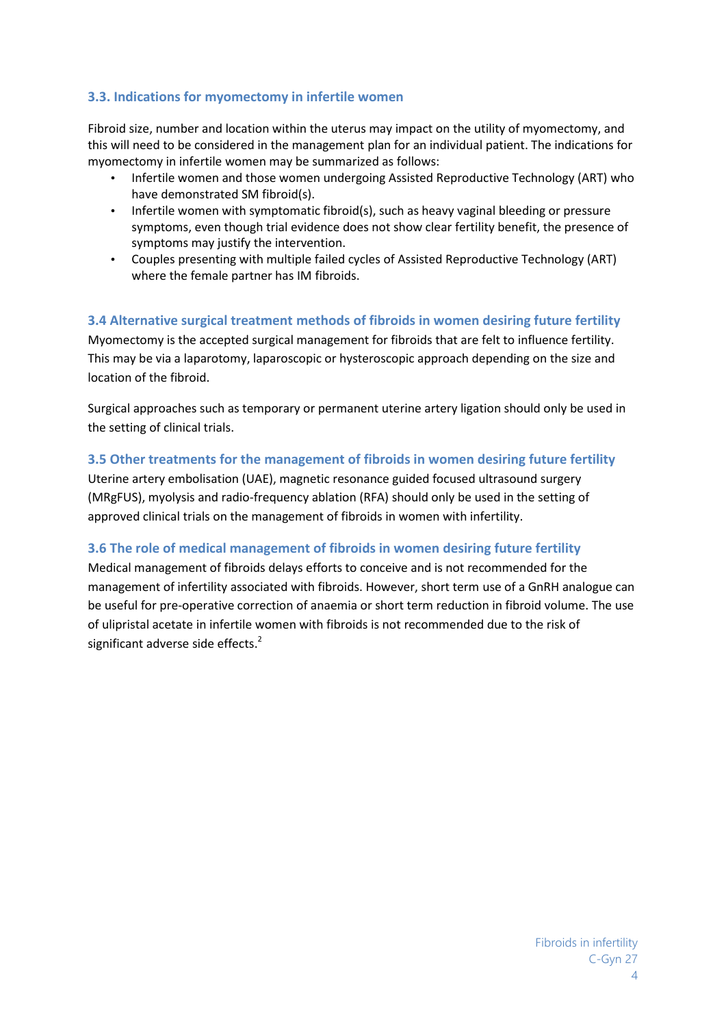## **3.3. Indications for myomectomy in infertile women**

Fibroid size, number and location within the uterus may impact on the utility of myomectomy, and this will need to be considered in the management plan for an individual patient. The indications for myomectomy in infertile women may be summarized as follows:

- Infertile women and those women undergoing Assisted Reproductive Technology (ART) who have demonstrated SM fibroid(s).
- Infertile women with symptomatic fibroid(s), such as heavy vaginal bleeding or pressure symptoms, even though trial evidence does not show clear fertility benefit, the presence of symptoms may justify the intervention.
- Couples presenting with multiple failed cycles of Assisted Reproductive Technology (ART) where the female partner has IM fibroids.

### **3.4 Alternative surgical treatment methods of fibroids in women desiring future fertility**

Myomectomy is the accepted surgical management for fibroids that are felt to influence fertility. This may be via a laparotomy, laparoscopic or hysteroscopic approach depending on the size and location of the fibroid.

Surgical approaches such as temporary or permanent uterine artery ligation should only be used in the setting of clinical trials.

#### **3.5 Other treatments for the management of fibroids in women desiring future fertility**

Uterine artery embolisation (UAE), magnetic resonance guided focused ultrasound surgery (MRgFUS), myolysis and radio-frequency ablation (RFA) should only be used in the setting of approved clinical trials on the management of fibroids in women with infertility.

### **3.6 The role of medical management of fibroids in women desiring future fertility**

Medical management of fibroids delays efforts to conceive and is not recommended for the management of infertility associated with fibroids. However, short term use of a GnRH analogue can be useful for pre-operative correction of anaemia or short term reduction in fibroid volume. The use of ulipristal acetate in infertile women with fibroids is not recommended due to the risk of significant adverse side effects. $2$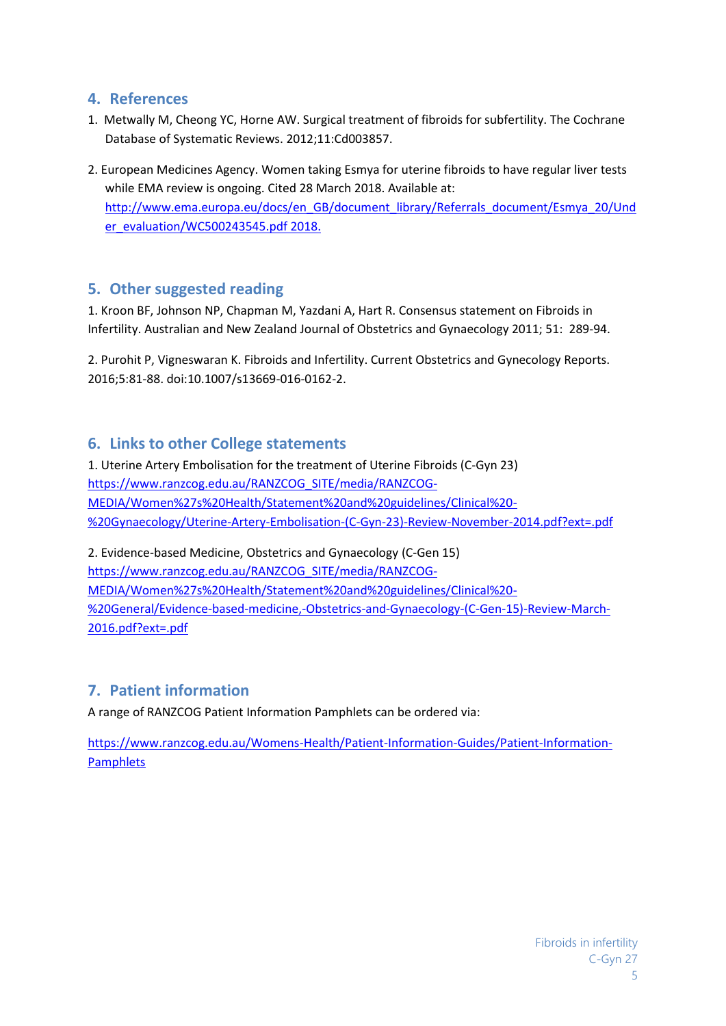## **4. References**

- 1. Metwally M, Cheong YC, Horne AW. Surgical treatment of fibroids for subfertility. The Cochrane Database of Systematic Reviews. 2012;11:Cd003857.
- 2. European Medicines Agency. Women taking Esmya for uterine fibroids to have regular liver tests while EMA review is ongoing. Cited 28 March 2018. Available at: http://www.ema.europa.eu/docs/en\_GB/document\_library/Referrals\_document/Esmya\_20/Und er\_evaluation/WC500243545.pdf 2018.

## **5. Other suggested reading**

1. Kroon BF, Johnson NP, Chapman M, Yazdani A, Hart R. Consensus statement on Fibroids in Infertility. Australian and New Zealand Journal of Obstetrics and Gynaecology 2011; 51: 289-94.

2. Purohit P, Vigneswaran K. Fibroids and Infertility. Current Obstetrics and Gynecology Reports. 2016;5:81-88. doi:10.1007/s13669-016-0162-2.

## **6. Links to other College statements**

1. Uterine Artery Embolisation for the treatment of Uterine Fibroids (C-Gyn 23) https://www.ranzcog.edu.au/RANZCOG\_SITE/media/RANZCOG- MEDIA/Women%27s%20Health/Statement%20and%20guidelines/Clinical%20- %20Gynaecology/Uterine-Artery-Embolisation-(C-Gyn-23)-Review-November-2014.pdf?ext=.pdf

2. Evidence-based Medicine, Obstetrics and Gynaecology (C-Gen 15) https://www.ranzcog.edu.au/RANZCOG\_SITE/media/RANZCOG- MEDIA/Women%27s%20Health/Statement%20and%20guidelines/Clinical%20- %20General/Evidence-based-medicine,-Obstetrics-and-Gynaecology-(C-Gen-15)-Review-March- 2016.pdf?ext=.pdf

## **7. Patient information**

A range of RANZCOG Patient Information Pamphlets can be ordered via:

https://www.ranzcog.edu.au/Womens-Health/Patient-Information-Guides/Patient-Information- Pamphlets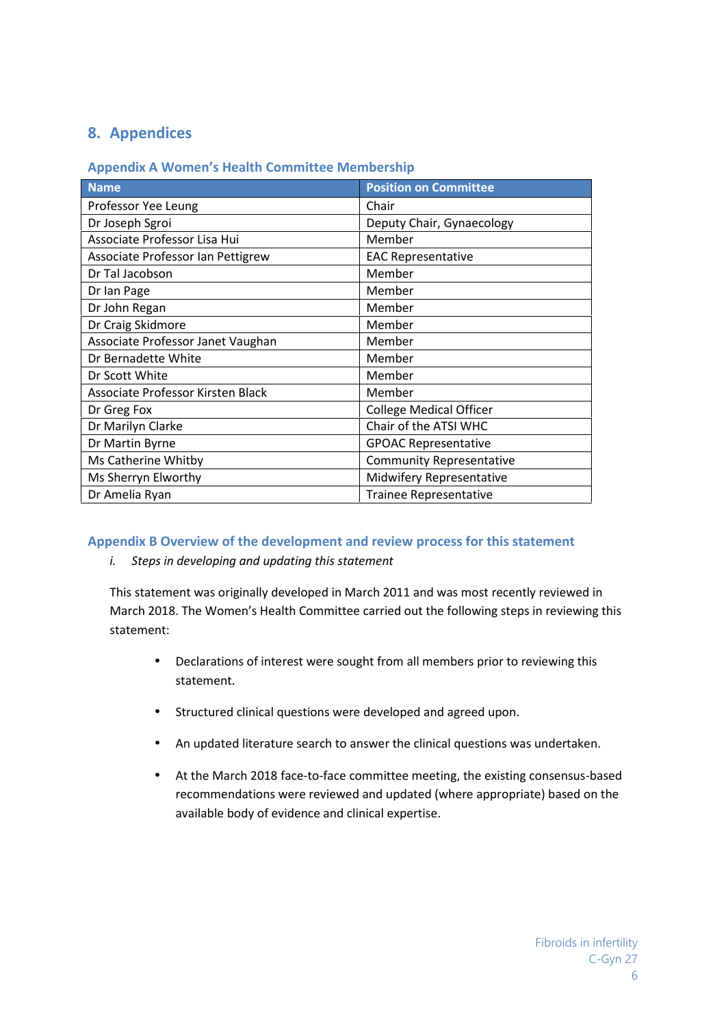# **8. Appendices**

#### **Appendix A Women's Health Committee Membership**

| <b>Name</b>                       | <b>Position on Committee</b>    |
|-----------------------------------|---------------------------------|
| Professor Yee Leung               | Chair                           |
| Dr Joseph Sgroi                   | Deputy Chair, Gynaecology       |
| Associate Professor Lisa Hui      | Member                          |
| Associate Professor Ian Pettigrew | <b>EAC Representative</b>       |
| Dr Tal Jacobson                   | Member                          |
| Dr Ian Page                       | Member                          |
| Dr John Regan                     | Member                          |
| Dr Craig Skidmore                 | Member                          |
| Associate Professor Janet Vaughan | Member                          |
| Dr Bernadette White               | Member                          |
| Dr Scott White                    | Member                          |
| Associate Professor Kirsten Black | Member                          |
| Dr Greg Fox                       | <b>College Medical Officer</b>  |
| Dr Marilyn Clarke                 | Chair of the ATSI WHC           |
| Dr Martin Byrne                   | <b>GPOAC Representative</b>     |
| Ms Catherine Whitby               | <b>Community Representative</b> |
| Ms Sherryn Elworthy               | Midwifery Representative        |
| Dr Amelia Ryan                    | <b>Trainee Representative</b>   |

### **Appendix B Overview of the development and review process for this statement**

## *i. Steps in developing and updating this statement*

This statement was originally developed in March 2011 and was most recently reviewed in March 2018. The Women's Health Committee carried out the following steps in reviewing this statement:

- Declarations of interest were sought from all members prior to reviewing this statement.
- Structured clinical questions were developed and agreed upon.
- An updated literature search to answer the clinical questions was undertaken.
- At the March 2018 face-to-face committee meeting, the existing consensus-based recommendations were reviewed and updated (where appropriate) based on the available body of evidence and clinical expertise.